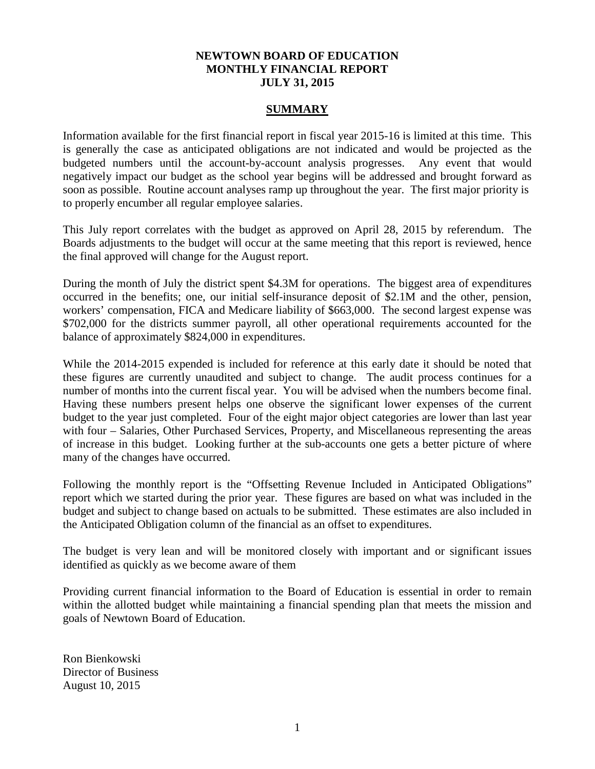## **NEWTOWN BOARD OF EDUCATION MONTHLY FINANCIAL REPORT JULY 31, 2015**

## **SUMMARY**

Information available for the first financial report in fiscal year 2015-16 is limited at this time. This is generally the case as anticipated obligations are not indicated and would be projected as the budgeted numbers until the account-by-account analysis progresses. Any event that would negatively impact our budget as the school year begins will be addressed and brought forward as soon as possible. Routine account analyses ramp up throughout the year. The first major priority is to properly encumber all regular employee salaries.

This July report correlates with the budget as approved on April 28, 2015 by referendum. The Boards adjustments to the budget will occur at the same meeting that this report is reviewed, hence the final approved will change for the August report.

During the month of July the district spent \$4.3M for operations. The biggest area of expenditures occurred in the benefits; one, our initial self-insurance deposit of \$2.1M and the other, pension, workers' compensation, FICA and Medicare liability of \$663,000. The second largest expense was \$702,000 for the districts summer payroll, all other operational requirements accounted for the balance of approximately \$824,000 in expenditures.

While the 2014-2015 expended is included for reference at this early date it should be noted that these figures are currently unaudited and subject to change. The audit process continues for a number of months into the current fiscal year. You will be advised when the numbers become final. Having these numbers present helps one observe the significant lower expenses of the current budget to the year just completed. Four of the eight major object categories are lower than last year with four – Salaries, Other Purchased Services, Property, and Miscellaneous representing the areas of increase in this budget. Looking further at the sub-accounts one gets a better picture of where many of the changes have occurred.

Following the monthly report is the "Offsetting Revenue Included in Anticipated Obligations" report which we started during the prior year. These figures are based on what was included in the budget and subject to change based on actuals to be submitted. These estimates are also included in the Anticipated Obligation column of the financial as an offset to expenditures.

The budget is very lean and will be monitored closely with important and or significant issues identified as quickly as we become aware of them

Providing current financial information to the Board of Education is essential in order to remain within the allotted budget while maintaining a financial spending plan that meets the mission and goals of Newtown Board of Education.

Ron Bienkowski Director of Business August 10, 2015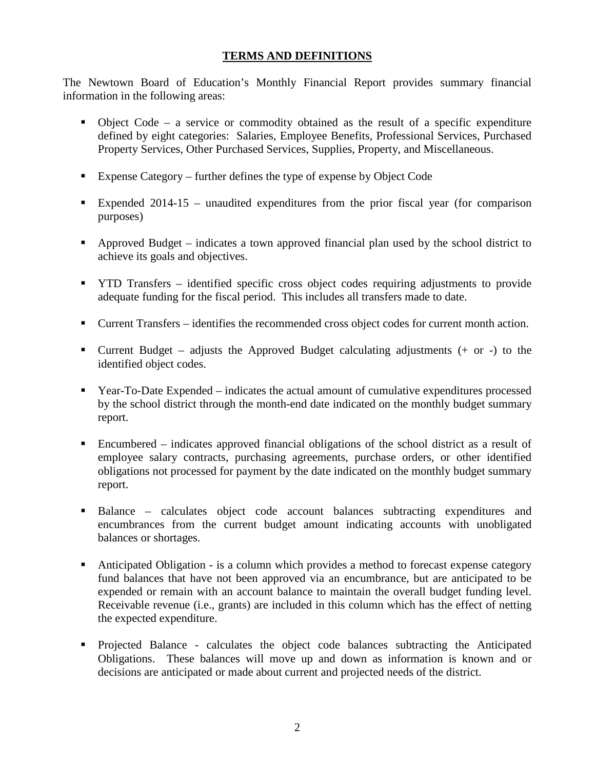## **TERMS AND DEFINITIONS**

The Newtown Board of Education's Monthly Financial Report provides summary financial information in the following areas:

- $\bullet$  Object Code a service or commodity obtained as the result of a specific expenditure defined by eight categories: Salaries, Employee Benefits, Professional Services, Purchased Property Services, Other Purchased Services, Supplies, Property, and Miscellaneous.
- Expense Category further defines the type of expense by Object Code
- Expended 2014-15 unaudited expenditures from the prior fiscal year (for comparison purposes)
- Approved Budget indicates a town approved financial plan used by the school district to achieve its goals and objectives.
- **THE TRANSFER** identified specific cross object codes requiring adjustments to provide adequate funding for the fiscal period. This includes all transfers made to date.
- Current Transfers identifies the recommended cross object codes for current month action.
- **Current Budget** adjusts the Approved Budget calculating adjustments  $(+ or -)$  to the identified object codes.
- Year-To-Date Expended indicates the actual amount of cumulative expenditures processed by the school district through the month-end date indicated on the monthly budget summary report.
- Encumbered indicates approved financial obligations of the school district as a result of employee salary contracts, purchasing agreements, purchase orders, or other identified obligations not processed for payment by the date indicated on the monthly budget summary report.
- Balance calculates object code account balances subtracting expenditures and encumbrances from the current budget amount indicating accounts with unobligated balances or shortages.
- Anticipated Obligation is a column which provides a method to forecast expense category fund balances that have not been approved via an encumbrance, but are anticipated to be expended or remain with an account balance to maintain the overall budget funding level. Receivable revenue (i.e., grants) are included in this column which has the effect of netting the expected expenditure.
- Projected Balance calculates the object code balances subtracting the Anticipated Obligations. These balances will move up and down as information is known and or decisions are anticipated or made about current and projected needs of the district.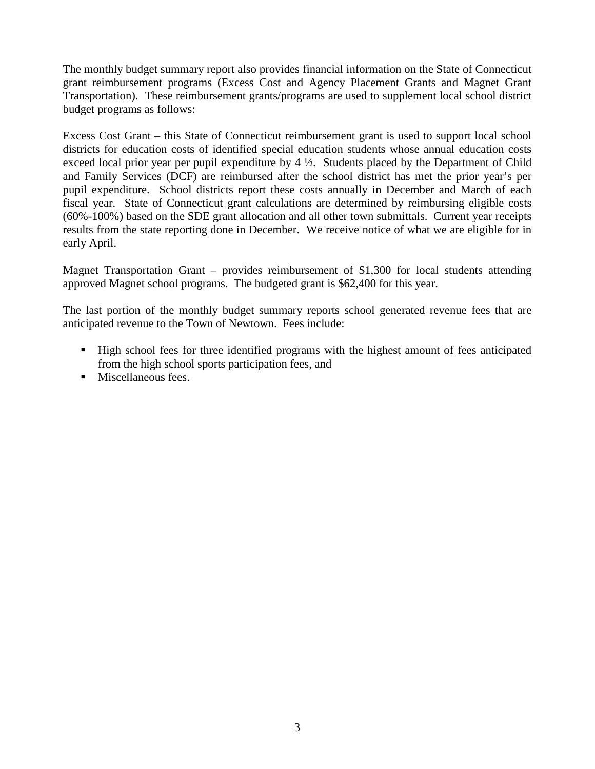The monthly budget summary report also provides financial information on the State of Connecticut grant reimbursement programs (Excess Cost and Agency Placement Grants and Magnet Grant Transportation). These reimbursement grants/programs are used to supplement local school district budget programs as follows:

Excess Cost Grant – this State of Connecticut reimbursement grant is used to support local school districts for education costs of identified special education students whose annual education costs exceed local prior year per pupil expenditure by 4 ½. Students placed by the Department of Child and Family Services (DCF) are reimbursed after the school district has met the prior year's per pupil expenditure. School districts report these costs annually in December and March of each fiscal year. State of Connecticut grant calculations are determined by reimbursing eligible costs (60%-100%) based on the SDE grant allocation and all other town submittals. Current year receipts results from the state reporting done in December. We receive notice of what we are eligible for in early April.

Magnet Transportation Grant – provides reimbursement of \$1,300 for local students attending approved Magnet school programs. The budgeted grant is \$62,400 for this year.

The last portion of the monthly budget summary reports school generated revenue fees that are anticipated revenue to the Town of Newtown. Fees include:

- High school fees for three identified programs with the highest amount of fees anticipated from the high school sports participation fees, and
- **Miscellaneous fees.**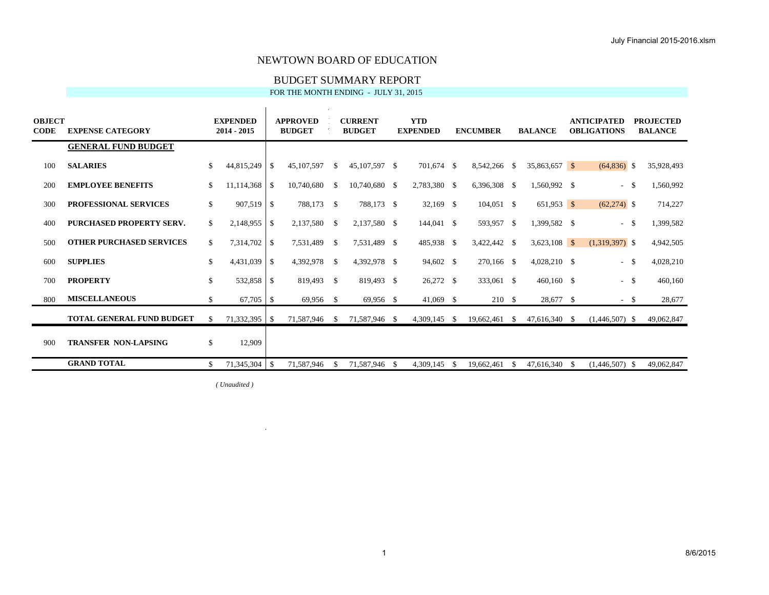## BUDGET SUMMARY REPORT

FOR THE MONTH ENDING - JULY 31, 2015

| <b>OBJECT</b><br><b>CODE</b> | <b>EXPENSE CATEGORY</b>          | <b>EXPENDED</b><br>2014 - 2015 |                    | <b>APPROVED</b><br><b>BUDGET</b> |               | <b>CURRENT</b><br><b>BUDGET</b> |    | <b>YTD</b><br><b>EXPENDED</b> |    | <b>ENCUMBER</b> |     | <b>BALANCE</b> |      | <b>ANTICIPATED</b><br><b>OBLIGATIONS</b> |               | <b>PROJECTED</b><br><b>BALANCE</b> |
|------------------------------|----------------------------------|--------------------------------|--------------------|----------------------------------|---------------|---------------------------------|----|-------------------------------|----|-----------------|-----|----------------|------|------------------------------------------|---------------|------------------------------------|
|                              | <b>GENERAL FUND BUDGET</b>       |                                |                    |                                  |               |                                 |    |                               |    |                 |     |                |      |                                          |               |                                    |
| 100                          | <b>SALARIES</b>                  | \$<br>44,815,249               | \$                 | 45,107,597                       | \$            | 45,107,597 \$                   |    | 701,674 \$                    |    | 8,542,266 \$    |     | 35,863,657 \$  |      | $(64,836)$ \$                            |               | 35,928,493                         |
| 200                          | <b>EMPLOYEE BENEFITS</b>         | \$<br>11.114.368               | $\mathbf{\hat{S}}$ | 10.740.680                       | \$            | 10,740,680                      | -S | 2,783,380 \$                  |    | 6,396,308 \$    |     | 1,560,992 \$   |      | $\overline{\phantom{a}}$                 | -S            | 1,560,992                          |
| 300                          | <b>PROFESSIONAL SERVICES</b>     | \$<br>907,519                  | \$                 | 788,173                          | - \$          | 788,173 \$                      |    | $32,169$ \$                   |    | $104,051$ \$    |     | $651,953$ \$   |      | $(62,274)$ \$                            |               | 714,227                            |
| 400                          | PURCHASED PROPERTY SERV.         | \$<br>2.148.955                | \$                 | 2,137,580                        | -\$           | 2,137,580 \$                    |    | 144,041 \$                    |    | 593,957 \$      |     | 1,399,582 \$   |      | $\overline{\phantom{a}}$                 | - \$          | 1,399,582                          |
| 500                          | <b>OTHER PURCHASED SERVICES</b>  | \$<br>7,314,702                | \$                 | 7,531,489                        | -\$           | 7,531,489 \$                    |    | 485,938 \$                    |    | 3,422,442 \$    |     | $3,623,108$ \$ |      | $(1,319,397)$ \$                         |               | 4,942,505                          |
| 600                          | <b>SUPPLIES</b>                  | \$<br>4,431,039                | \$                 | 4,392,978                        | -S            | 4,392,978 \$                    |    | 94,602 \$                     |    | 270,166 \$      |     | 4,028,210 \$   |      | $\overline{\phantom{a}}$                 | -S            | 4,028,210                          |
| 700                          | <b>PROPERTY</b>                  | \$<br>532,858                  | $\mathcal{S}$      | 819,493                          | - \$          | 819,493 \$                      |    | 26,272 \$                     |    | 333,061 \$      |     | $460,160$ \$   |      | $\sim$                                   | $\mathcal{S}$ | 460,160                            |
| 800                          | <b>MISCELLANEOUS</b>             | \$<br>67,705                   | $\mathcal{S}$      | 69,956                           | - \$          | 69,956 \$                       |    | $41,069$ \$                   |    | 210 \$          |     | 28,677 \$      |      | - \$                                     |               | 28,677                             |
|                              | <b>TOTAL GENERAL FUND BUDGET</b> | \$                             |                    | 71,587,946                       | <sup>\$</sup> | 71,587,946 \$                   |    | 4,309,145 \$                  |    | 19,662,461      | -\$ | 47,616,340 \$  |      | $(1,446,507)$ \$                         |               | 49,062,847                         |
| 900                          | <b>TRANSFER NON-LAPSING</b>      | \$<br>12,909                   |                    |                                  |               |                                 |    |                               |    |                 |     |                |      |                                          |               |                                    |
|                              | <b>GRAND TOTAL</b>               | \$<br>71,345,304               | -S                 | 71,587,946                       | <sup>\$</sup> | 71,587,946                      | -S | 4.309.145                     | -8 | 19,662,461      |     | 47.616.340     | - \$ | $(1,446,507)$ \$                         |               | 49,062,847                         |

*( Unaudited )*

 $\mathcal{A}^{\pm}$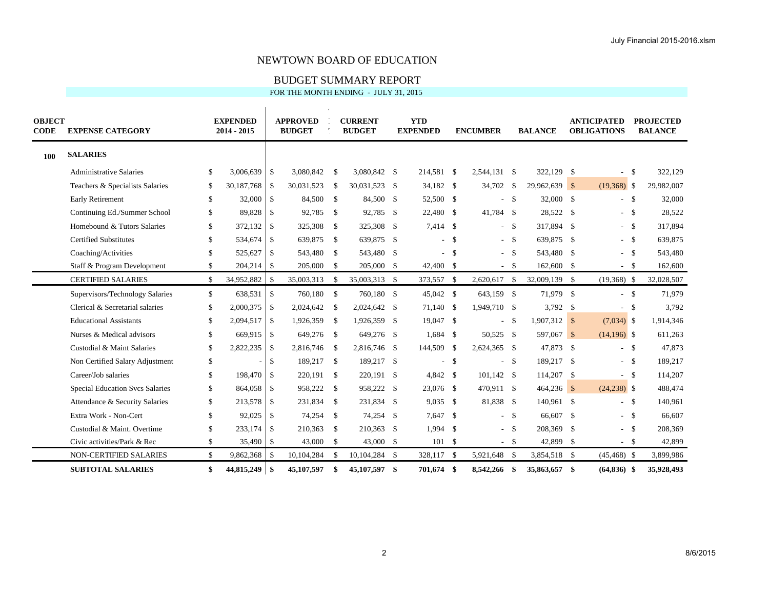## BUDGET SUMMARY REPORT

| <b>OBJECT</b><br><b>CODE</b> | <b>EXPENSE CATEGORY</b>                |               | <b>EXPENDED</b><br>2014 - 2015 |                    | <b>APPROVED</b><br><b>BUDGET</b> |               | <b>CURRENT</b><br><b>BUDGET</b> |                    | <b>YTD</b><br><b>EXPENDED</b> |      | <b>ENCUMBER</b> |                    | <b>BALANCE</b> |      | <b>ANTICIPATED</b><br><b>OBLIGATIONS</b> |      | <b>PROJECTED</b><br><b>BALANCE</b> |
|------------------------------|----------------------------------------|---------------|--------------------------------|--------------------|----------------------------------|---------------|---------------------------------|--------------------|-------------------------------|------|-----------------|--------------------|----------------|------|------------------------------------------|------|------------------------------------|
| <b>100</b>                   | <b>SALARIES</b>                        |               |                                |                    |                                  |               |                                 |                    |                               |      |                 |                    |                |      |                                          |      |                                    |
|                              | <b>Administrative Salaries</b>         | \$            | 3,006,639                      | \$                 | 3,080,842                        | \$            | 3,080,842 \$                    |                    | 214,581 \$                    |      | 2,544,131 \$    |                    | 322,129 \$     |      |                                          | -\$  | 322,129                            |
|                              | Teachers & Specialists Salaries        | \$            | 30,187,768                     | \$                 | 30,031,523                       | -S            | 30,031,523                      | - \$               | 34,182 \$                     |      | 34,702 \$       |                    | 29,962,639 \$  |      | $(19,368)$ \$                            |      | 29,982,007                         |
|                              | <b>Early Retirement</b>                | \$            | 32,000                         | $\mathbf{\hat{S}}$ | 84,500                           | \$            | 84,500                          | $\mathbf{\hat{S}}$ | 52,500 \$                     |      |                 | $-5$               | 32,000 \$      |      | $-$ \$                                   |      | 32,000                             |
|                              | Continuing Ed./Summer School           | \$            | 89,828                         | $\mathbf{\hat{S}}$ | 92,785                           | $\mathcal{S}$ | 92,785 \$                       |                    | 22,480 \$                     |      | 41,784 \$       |                    | 28,522 \$      |      | $-$ \$                                   |      | 28,522                             |
|                              | Homebound & Tutors Salaries            | $\mathbf{\$}$ | 372,132                        | \$                 | 325,308                          | \$            | 325,308                         | - \$               | 7,414 \$                      |      |                 | $-5$               | 317,894 \$     |      | $\overline{a}$                           | - \$ | 317,894                            |
|                              | <b>Certified Substitutes</b>           | \$            | 534,674                        | \$                 | 639,875                          | \$            | 639,875 \$                      |                    |                               | $-5$ |                 | $-$ \$             | 639,875 \$     |      | $-$ \$                                   |      | 639,875                            |
|                              | Coaching/Activities                    | $\mathbf{\$}$ | 525,627                        | \$                 | 543,480                          | $\mathcal{S}$ | 543,480 \$                      |                    |                               | $-5$ |                 | $-5$               | 543,480 \$     |      | $-$ \$                                   |      | 543,480                            |
|                              | Staff & Program Development            | \$            | 204,214                        | \$                 | 205,000                          | \$            | 205,000 \$                      |                    | 42,400 \$                     |      |                 | $-$ \$             | 162,600 \$     |      | $-$ \$                                   |      | 162,600                            |
|                              | <b>CERTIFIED SALARIES</b>              | \$            | 34,952,882                     | $\mathbf{\hat{S}}$ | 35,003,313                       | \$            | 35,003,313 \$                   |                    | 373,557 \$                    |      | 2,620,617 \$    |                    | 32,009,139 \$  |      | $(19,368)$ \$                            |      | 32,028,507                         |
|                              | Supervisors/Technology Salaries        | \$            | 638,531                        | $\mathcal{S}$      | 760,180                          | \$            | 760,180 \$                      |                    | 45,042 \$                     |      | 643,159 \$      |                    | 71,979 \$      |      | $-$ \$                                   |      | 71,979                             |
|                              | Clerical & Secretarial salaries        | \$            | 2,000,375                      | \$                 | 2,024,642                        | \$            | 2,024,642 \$                    |                    | 71,140 \$                     |      | 1,949,710 \$    |                    | $3,792$ \$     |      | $\overline{\phantom{a}}$                 | -\$  | 3,792                              |
|                              | <b>Educational Assistants</b>          | \$            | 2,094,517                      | $\mathbf{\hat{S}}$ | 1,926,359                        | -S            | 1,926,359                       | - \$               | 19,047 \$                     |      | $\sim$          | - \$               | $1,907,312$ \$ |      | $(7,034)$ \$                             |      | 1,914,346                          |
|                              | Nurses & Medical advisors              | \$            | 669,915                        | \$                 | 649,276                          | \$            | 649,276 \$                      |                    | $1,684$ \$                    |      | 50,525 \$       |                    | 597,067 \$     |      | $(14,196)$ \$                            |      | 611,263                            |
|                              | Custodial & Maint Salaries             | \$            | 2,822,235                      | $\mathbf{\hat{S}}$ | 2,816,746                        | -S            | 2,816,746                       | - \$               | 144,509 \$                    |      | 2,624,365 \$    |                    | 47,873 \$      |      | $-$ \$                                   |      | 47,873                             |
|                              | Non Certified Salary Adjustment        | \$            |                                | \$                 | 189,217                          | \$            | 189,217 \$                      |                    | $\sim$                        | -\$  |                 | $\mathbf{\hat{s}}$ | 189,217 \$     |      | $\mathcal{L}^{\pm}$                      | - \$ | 189,217                            |
|                              | Career/Job salaries                    | \$            | 198,470                        | $\mathcal{S}$      | 220,191                          | \$            | 220,191 \$                      |                    | 4,842 \$                      |      | $101,142$ \$    |                    | 114,207 \$     |      | $- S$                                    |      | 114,207                            |
|                              | <b>Special Education Svcs Salaries</b> | \$            | 864,058                        | $\mathbf{\hat{S}}$ | 958,222                          | $\mathcal{S}$ | 958,222 \$                      |                    | 23,076 \$                     |      | 470,911 \$      |                    | $464,236$ \$   |      | $(24,238)$ \$                            |      | 488,474                            |
|                              | Attendance & Security Salaries         | $\mathbf{\$}$ | 213,578                        | $\mathbf{\hat{S}}$ | 231,834                          | \$            | 231,834 \$                      |                    | $9,035$ \$                    |      | 81,838 \$       |                    | 140,961 \$     |      | $\sim$                                   | - \$ | 140,961                            |
|                              | Extra Work - Non-Cert                  | \$            | 92,025                         | $\mathbf{\hat{S}}$ | 74,254                           | \$            | 74,254 \$                       |                    | 7,647 \$                      |      |                 | $-5$               | 66,607 \$      |      | $-$ \$                                   |      | 66,607                             |
|                              | Custodial & Maint. Overtime            | \$            | 233,174                        | $\mathcal{S}$      | 210,363                          | S.            | 210,363                         | $\mathbf{\hat{S}}$ | $1,994$ \$                    |      |                 | $-5$               | 208,369 \$     |      | $\overline{a}$                           | - \$ | 208,369                            |
|                              | Civic activities/Park & Rec            | \$            | 35,490                         | \$                 | 43,000                           | \$            | 43,000 \$                       |                    | 101S                          |      |                 | $-$ \$             | 42,899 \$      |      | $-$ \$                                   |      | 42,899                             |
|                              | NON-CERTIFIED SALARIES                 | \$            | 9,862,368                      | \$                 | 10,104,284                       | \$            | 10,104,284 \$                   |                    | 328,117 \$                    |      | 5,921,648 \$    |                    | 3,854,518 \$   |      | $(45, 468)$ \$                           |      | 3,899,986                          |
|                              | <b>SUBTOTAL SALARIES</b>               | \$            | 44,815,249                     | -\$                | 45,107,597                       | \$            | 45,107,597                      | -\$                | 701.674                       | - \$ | 8.542.266 \$    |                    | 35,863,657     | - \$ | $(64,836)$ \$                            |      | 35,928,493                         |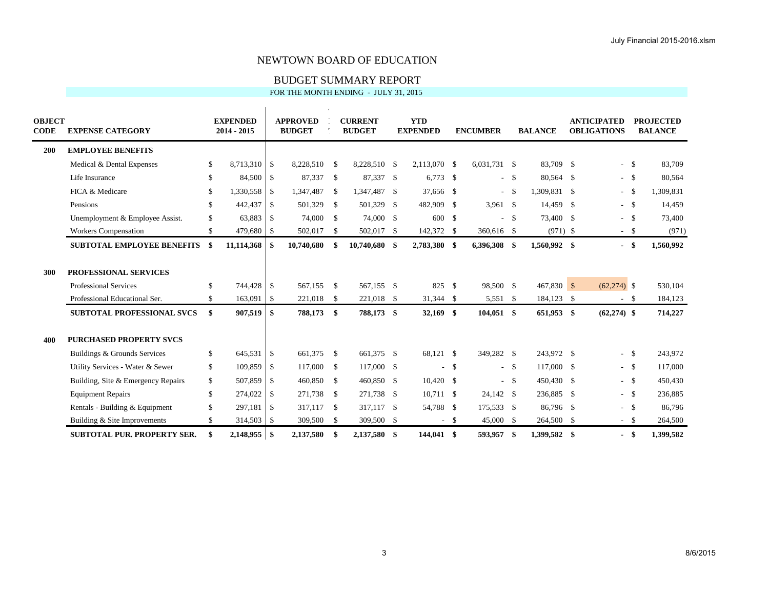# BUDGET SUMMARY REPORT

| <b>OBJECT</b><br><b>CODE</b> | <b>EXPENSE CATEGORY</b>            | <b>EXPENDED</b><br>2014 - 2015 |          | <b>APPROVED</b><br><b>BUDGET</b> |            | <b>CURRENT</b><br><b>BUDGET</b> |              | <b>YTD</b><br><b>EXPENDED</b> |                    | <b>ENCUMBER</b> |        | <b>BALANCE</b> | <b>ANTICIPATED</b><br><b>OBLIGATIONS</b> |               | <b>PROJECTED</b><br><b>BALANCE</b> |
|------------------------------|------------------------------------|--------------------------------|----------|----------------------------------|------------|---------------------------------|--------------|-------------------------------|--------------------|-----------------|--------|----------------|------------------------------------------|---------------|------------------------------------|
| 200                          | <b>EMPLOYEE BENEFITS</b>           |                                |          |                                  |            |                                 |              |                               |                    |                 |        |                |                                          |               |                                    |
|                              | Medical & Dental Expenses          | \$<br>8,713,310                | \$       | 8,228,510                        | -S         | 8,228,510 \$                    |              | 2,113,070 \$                  |                    | 6,031,731 \$    |        | 83,709 \$      | $\overline{\phantom{0}}$                 | -S            | 83,709                             |
|                              | Life Insurance                     | \$<br>84,500                   | - \$     | 87,337 \$                        |            | 87,337 \$                       |              | $6,773$ \$                    |                    |                 | $-$ \$ | 80,564 \$      |                                          | $-5$          | 80,564                             |
|                              | FICA & Medicare                    | \$<br>1,330,558                | -S       | 1,347,487                        | - \$       | 1,347,487                       | $\mathbf{s}$ | 37,656 \$                     |                    |                 | $-5$   | 1,309,831 \$   | $\overline{a}$                           | \$            | 1,309,831                          |
|                              | Pensions                           | \$<br>442,437                  | - \$     | 501,329                          | - \$       | 501,329                         | - \$         | 482,909 \$                    |                    | $3,961$ \$      |        | 14,459 \$      |                                          | $-$ \$        | 14,459                             |
|                              | Unemployment & Employee Assist.    | \$<br>63,883                   | l \$     | 74,000 \$                        |            | 74,000 \$                       |              | 600                           | $\mathbf{\hat{S}}$ |                 | $-$ \$ | 73,400 \$      | $\overline{a}$                           | $\mathcal{S}$ | 73,400                             |
|                              | <b>Workers Compensation</b>        | \$<br>479,680                  | -\$      | 502,017                          | \$         | 502,017 \$                      |              | 142,372 \$                    |                    | 360,616 \$      |        | $(971)$ \$     | $\sim$                                   | \$            | (971)                              |
|                              | <b>SUBTOTAL EMPLOYEE BENEFITS</b>  | \$<br>11,114,368               | -\$      | 10,740,680                       | -S         | 10,740,680 \$                   |              | 2,783,380 \$                  |                    | 6,396,308 \$    |        | 1,560,992 \$   | $\overline{\phantom{0}}$                 | S,            | 1,560,992                          |
| 300                          | PROFESSIONAL SERVICES              |                                |          |                                  |            |                                 |              |                               |                    |                 |        |                |                                          |               |                                    |
|                              | <b>Professional Services</b>       | \$<br>744,428                  | - \$     | 567.155 \$                       |            | 567,155 \$                      |              | 825                           | -\$                | 98,500 \$       |        | $467,830$ \$   | $(62,274)$ \$                            |               | 530,104                            |
|                              | Professional Educational Ser.      | \$<br>163,091                  | l \$     | 221,018 \$                       |            | 221,018 \$                      |              | 31,344 \$                     |                    | 5,551 \$        |        | 184,123 \$     | $\sim$                                   | -S            | 184,123                            |
|                              | SUBTOTAL PROFESSIONAL SVCS         | \$<br>907,519                  | S.       | 788,173                          | -\$        | 788,173 \$                      |              | 32,169 \$                     |                    | $104,051$ \$    |        | 651,953 \$     | $(62,274)$ \$                            |               | 714,227                            |
| 400                          | <b>PURCHASED PROPERTY SVCS</b>     |                                |          |                                  |            |                                 |              |                               |                    |                 |        |                |                                          |               |                                    |
|                              | Buildings & Grounds Services       | \$<br>645,531                  | - \$     | 661,375 \$                       |            | 661,375 \$                      |              | 68,121 \$                     |                    | 349,282 \$      |        | 243,972 \$     | $\overline{a}$                           | - \$          | 243,972                            |
|                              | Utility Services - Water & Sewer   | \$<br>109,859                  | - \$     | 117,000 \$                       |            | 117,000 \$                      |              |                               | $-5$               |                 | $-$ \$ | 117,000 \$     |                                          | $-$ \$        | 117,000                            |
|                              | Building, Site & Emergency Repairs | \$<br>507,859                  | - \$     | 460,850 \$                       |            | 460,850 \$                      |              | $10,420$ \$                   |                    |                 | $-$ \$ | 450,430 \$     |                                          | $- S$         | 450,430                            |
|                              | <b>Equipment Repairs</b>           | \$<br>274,022                  | -S       | 271.738                          | $^{\circ}$ | 271.738 \$                      |              | 10.711 \$                     |                    | 24,142 \$       |        | 236,885 \$     |                                          | $-$ \$        | 236,885                            |
|                              | Rentals - Building & Equipment     | \$<br>297,181                  | - \$     | 317,117 \$                       |            | 317,117 \$                      |              | 54,788 \$                     |                    | 175,533 \$      |        | 86,796 \$      | $\sim$                                   | \$            | 86,796                             |
|                              | Building & Site Improvements       | \$<br>314,503                  | -\$      | 309,500                          | - \$       | 309,500 \$                      |              |                               | $-$ \$             | 45,000 \$       |        | 264,500 \$     | $\sim$                                   | -S            | 264,500                            |
|                              | <b>SUBTOTAL PUR. PROPERTY SER.</b> | \$<br>2,148,955                | <b>S</b> | 2,137,580                        | \$         | 2,137,580                       | -\$          | 144,041 \$                    |                    | 593,957         | - \$   | 1,399,582 \$   | $\overline{\phantom{0}}$                 | \$            | 1,399,582                          |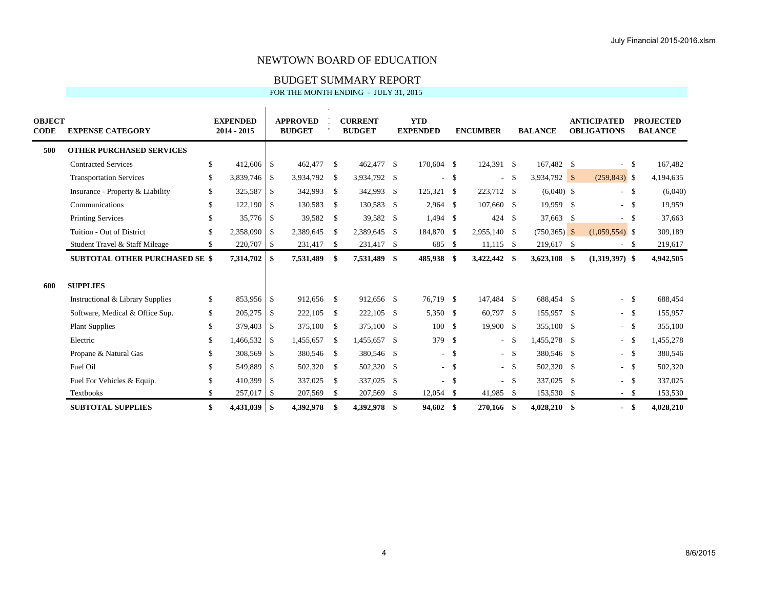# BUDGET SUMMARY REPORT

| <b>OBJECT</b><br><b>CODE</b> | <b>EXPENSE CATEGORY</b>               | <b>EXPENDED</b><br>2014 - 2015 |                          | <b>APPROVED</b><br><b>BUDGET</b> |      | <b>CURRENT</b><br><b>BUDGET</b> |      | <b>YTD</b><br><b>EXPENDED</b> |        | <b>ENCUMBER</b> |              | <b>BALANCE</b>  | <b>ANTICIPATED</b><br><b>OBLIGATIONS</b> |      | <b>PROJECTED</b><br><b>BALANCE</b> |
|------------------------------|---------------------------------------|--------------------------------|--------------------------|----------------------------------|------|---------------------------------|------|-------------------------------|--------|-----------------|--------------|-----------------|------------------------------------------|------|------------------------------------|
| 500                          | <b>OTHER PURCHASED SERVICES</b>       |                                |                          |                                  |      |                                 |      |                               |        |                 |              |                 |                                          |      |                                    |
|                              | <b>Contracted Services</b>            | \$<br>$412,606$ \$             |                          | 462,477 \$                       |      | 462,477 \$                      |      | 170,604 \$                    |        | 124.391 \$      |              | 167,482 \$      | $\overline{\phantom{a}}$                 | - \$ | 167,482                            |
|                              | <b>Transportation Services</b>        | \$<br>3,839,746                | l \$                     | 3,934,792                        | -\$  | 3,934,792 \$                    |      | $\sim$                        | \$     | $\sim$          | - \$         | 3,934,792 \$    | $(259, 843)$ \$                          |      | 4,194,635                          |
|                              | Insurance - Property & Liability      | \$<br>325,587                  | \$                       | 342,993 \$                       |      | 342,993                         | - \$ | 125,321 \$                    |        | 223,712 \$      |              | $(6,040)$ \$    | $-5$                                     |      | (6,040)                            |
|                              | Communications                        | \$<br>122,190                  | $\overline{\phantom{a}}$ | 130,583                          | - \$ | 130,583 \$                      |      | $2,964$ \$                    |        | 107,660 \$      |              | 19,959 \$       | $-5$                                     |      | 19,959                             |
|                              | <b>Printing Services</b>              | \$<br>35,776 \$                |                          | 39,582 \$                        |      | 39,582 \$                       |      | $1,494$ \$                    |        | $424 \quad $$   |              | 37,663 \$       |                                          | - \$ | 37,663                             |
|                              | Tuition - Out of District             | \$<br>2,358,090                | S                        | 2,389,645                        | -\$  | 2,389,645 \$                    |      | 184,870 \$                    |        | 2,955,140 \$    |              | $(750, 365)$ \$ | $(1,059,554)$ \$                         |      | 309,189                            |
|                              | Student Travel & Staff Mileage        | \$<br>220,707                  | $\mathsf{I}$             | 231,417 \$                       |      | 231,417 \$                      |      | 685 \$                        |        | $11,115$ \$     |              | 219,617 \$      | $-$ \$                                   |      | 219,617                            |
|                              | <b>SUBTOTAL OTHER PURCHASED SE \$</b> | 7,314,702                      | -\$                      | 7,531,489                        | - \$ | 7,531,489 \$                    |      | 485,938 \$                    |        | 3,422,442 \$    |              | 3,623,108 \$    | $(1,319,397)$ \$                         |      | 4,942,505                          |
| 600                          | <b>SUPPLIES</b>                       |                                |                          |                                  |      |                                 |      |                               |        |                 |              |                 |                                          |      |                                    |
|                              | Instructional & Library Supplies      | \$<br>853,956 \$               |                          | 912,656 \$                       |      | 912,656 \$                      |      | 76,719 \$                     |        | 147,484 \$      |              | 688,454 \$      | $\overline{\phantom{a}}$                 | - \$ | 688,454                            |
|                              | Software, Medical & Office Sup.       | \$<br>205,275                  | l \$                     | 222,105                          | -S   | 222,105 \$                      |      | 5,350 \$                      |        | $60,797$ \$     |              | 155,957 \$      | $-5$                                     |      | 155,957                            |
|                              | <b>Plant Supplies</b>                 | \$<br>379,403                  | $\mathsf{S}$             | 375,100 \$                       |      | 375,100 \$                      |      | 100                           | \$     | 19,900 \$       |              | 355,100 \$      | $- S$                                    |      | 355,100                            |
|                              | Electric                              | \$<br>1,466,532                | - \$                     | 1,455,657                        | -S   | 1,455,657                       | - \$ | 379 \$                        |        |                 | $-$ \$       | 1,455,278 \$    | $\sim$                                   | - \$ | 1,455,278                          |
|                              | Propane & Natural Gas                 | \$<br>308,569                  | l \$                     | 380,546 \$                       |      | 380,546 \$                      |      |                               | $-$ \$ |                 | $-5$         | 380,546 \$      | $-$ \$                                   |      | 380,546                            |
|                              | Fuel Oil                              | \$<br>549,889                  | $\mathsf{S}$             | 502,320                          | - \$ | 502,320 \$                      |      |                               | $-$ \$ |                 | $-5$         | 502,320 \$      | $-$ \$                                   |      | 502,320                            |
|                              | Fuel For Vehicles & Equip.            | \$<br>410,399                  | $\overline{S}$           | 337,025                          | - \$ | 337,025 \$                      |      | $\sim$                        | \$     |                 | $-$ \$       | 337,025 \$      | $-$ \$                                   |      | 337,025                            |
|                              | <b>Textbooks</b>                      | \$<br>257,017                  | $\overline{1}$           | 207,569                          | \$   | 207,569                         | -S   | $12,054$ \$                   |        | 41,985          | $\mathbf{s}$ | 153,530 \$      | $-$ \$                                   |      | 153,530                            |
|                              | <b>SUBTOTAL SUPPLIES</b>              | \$<br>4,431,039                | $\vert$ \$               | 4,392,978                        | -\$  | 4.392.978                       | -\$  | 94.602                        | \$     | 270.166 \$      |              | $4,028,210$ \$  | $\blacksquare$                           | -\$  | 4,028,210                          |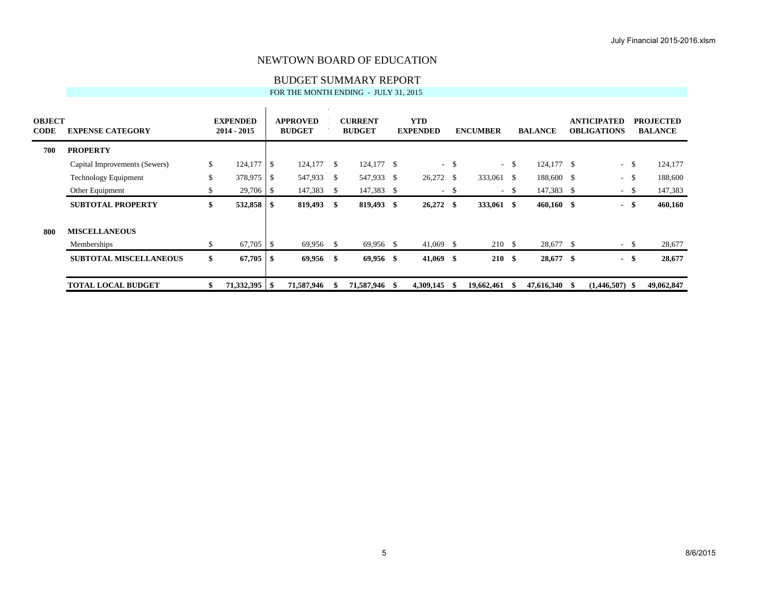# BUDGET SUMMARY REPORT

| <b>OBJECT</b><br><b>CODE</b> | <b>EXPENSE CATEGORY</b>       |    | <b>EXPENDED</b><br>$2014 - 2015$ |      | <b>APPROVED</b><br><b>BUDGET</b> |      | <b>CURRENT</b><br><b>BUDGET</b> |      | <b>YTD</b><br><b>EXPENDED</b> |      | <b>ENCUMBER</b> |        | <b>BALANCE</b> | <b>ANTICIPATED</b><br><b>OBLIGATIONS</b> |      | <b>PROJECTED</b><br><b>BALANCE</b> |
|------------------------------|-------------------------------|----|----------------------------------|------|----------------------------------|------|---------------------------------|------|-------------------------------|------|-----------------|--------|----------------|------------------------------------------|------|------------------------------------|
| 700                          | <b>PROPERTY</b>               |    |                                  |      |                                  |      |                                 |      |                               |      |                 |        |                |                                          |      |                                    |
|                              | Capital Improvements (Sewers) | \$ | 124,177                          | - \$ | 124,177                          | - \$ | 124,177 \$                      |      |                               | $-5$ |                 | $-$ \$ | 124,177 \$     | $\sim$                                   | - \$ | 124,177                            |
|                              | <b>Technology Equipment</b>   | \$ | 378,975                          | -\$  | 547,933 \$                       |      | 547,933                         | - \$ | 26,272 \$                     |      | 333,061 \$      |        | 188,600 \$     | $\overline{\phantom{a}}$                 | -\$  | 188,600                            |
|                              | Other Equipment               | \$ | 29,706                           | - \$ | 147,383                          | - \$ | 147,383 \$                      |      |                               | $-5$ |                 | $-$ \$ | 147,383 \$     | $\sim$                                   | -\$  | 147,383                            |
|                              | <b>SUBTOTAL PROPERTY</b>      | \$ | 532,858                          | - \$ | 819,493                          | - \$ | 819,493 \$                      |      | $26,272$ \$                   |      | 333,061 \$      |        | $460,160$ \$   | $\blacksquare$                           | -\$  | 460,160                            |
| 800                          | <b>MISCELLANEOUS</b>          |    |                                  |      |                                  |      |                                 |      |                               |      |                 |        |                |                                          |      |                                    |
|                              | Memberships                   | \$ |                                  |      | 69,956 \$                        |      | 69,956 \$                       |      | $41,069$ \$                   |      | 210 \$          |        | 28,677 \$      | $\sim$                                   | -S   | 28,677                             |
|                              | <b>SUBTOTAL MISCELLANEOUS</b> | \$ | 67,705                           | - \$ | 69,956                           | - \$ | $69,956$ \$                     |      | $41,069$ \$                   |      | 210S            |        | 28,677 \$      | $\blacksquare$                           | \$   | 28,677                             |
|                              | <b>TOTAL LOCAL BUDGET</b>     | ъ  | 71,332,395                       | - 56 | 71,587,946                       |      | 71,587,946                      | -S   | 4,309,145                     |      | 19,662,461      |        | 47,616,340 \$  | $(1,446,507)$ \$                         |      | 49,062,847                         |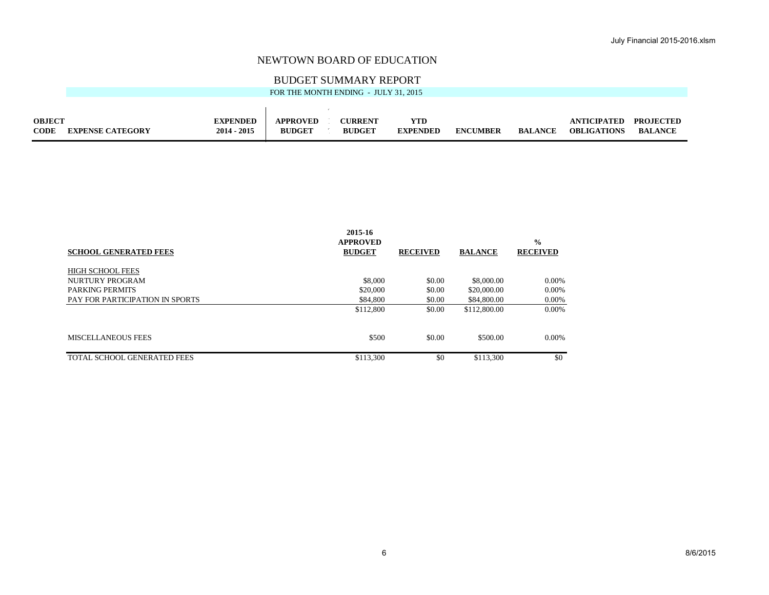### BUDGET SUMMARY REPORT

| FOR THE MONTH ENDING - JULY 31, 2015 |  |
|--------------------------------------|--|
|--------------------------------------|--|

| <b>OBJECT</b> |                         | <b>EXPENDED</b> | <b>APPROVED</b> | <b>CURRENT</b> | YTD             |                 |                | ANTICIPATED        | <b>PROJECTED</b> |
|---------------|-------------------------|-----------------|-----------------|----------------|-----------------|-----------------|----------------|--------------------|------------------|
| <b>CODE</b>   | <b>EXPENSE CATEGORY</b> | $2014 - 2015$   | <b>BUDGET</b>   | <b>BUDGET</b>  | <b>EXPENDED</b> | <b>ENCUMBER</b> | <b>BALANCE</b> | <b>OBLIGATIONS</b> | <b>BALANCE</b>   |

| 2015-16<br><b>APPROVED</b><br><b>BUDGET</b> | <b>RECEIVED</b> | <b>BALANCE</b> | $\frac{0}{0}$<br><b>RECEIVED</b> |
|---------------------------------------------|-----------------|----------------|----------------------------------|
|                                             |                 |                |                                  |
| \$8,000                                     | \$0.00          | \$8,000.00     | 0.00%                            |
| \$20,000                                    | \$0.00          | \$20,000.00    | 0.00%                            |
| \$84,800                                    | \$0.00          | \$84,800.00    | 0.00%                            |
| \$112,800                                   | \$0.00          | \$112,800.00   | 0.00%                            |
| \$500                                       | \$0.00          | \$500.00       | 0.00%                            |
| \$113,300                                   | \$0             | \$113,300      | \$0                              |
|                                             |                 |                |                                  |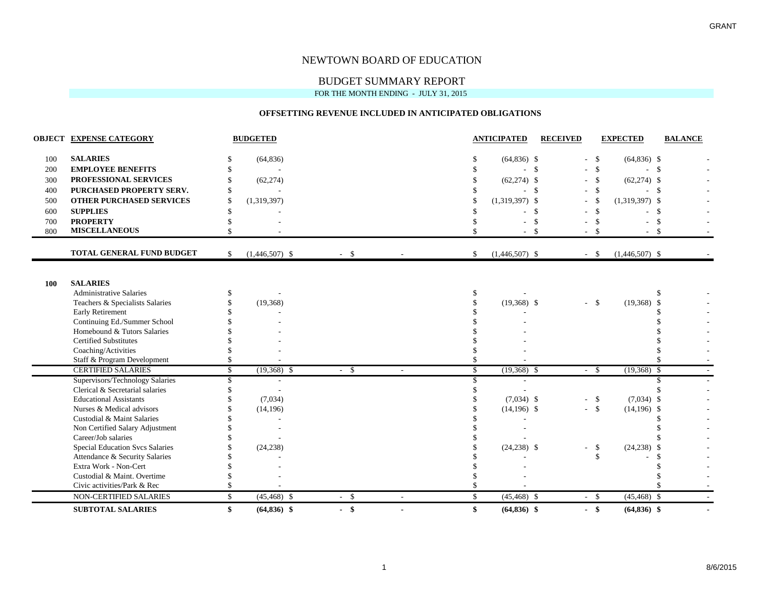### BUDGET SUMMARY REPORT

FOR THE MONTH ENDING - JULY 31, 2015

#### **OFFSETTING REVENUE INCLUDED IN ANTICIPATED OBLIGATIONS**

|     | <b>OBJECT EXPENSE CATEGORY</b>         |    | <b>BUDGETED</b>  |        |                          | <b>ANTICIPATED</b>     | <b>RECEIVED</b>    |               | <b>EXPECTED</b>  | <b>BALANCE</b> |
|-----|----------------------------------------|----|------------------|--------|--------------------------|------------------------|--------------------|---------------|------------------|----------------|
| 100 | <b>SALARIES</b>                        |    | (64, 836)        |        |                          | $(64,836)$ \$          |                    | $-$ \$        | $(64,836)$ \$    |                |
| 200 | <b>EMPLOYEE BENEFITS</b>               |    |                  |        |                          |                        | $\mathbf{\hat{s}}$ | $-$ \$        | $-5$             |                |
| 300 | PROFESSIONAL SERVICES                  |    | (62, 274)        |        |                          | $(62, 274)$ \$         |                    | $-$ \$        | $(62,274)$ \$    |                |
| 400 | PURCHASED PROPERTY SERV.               |    |                  |        |                          |                        | -\$                | $-$ \$        | - \$             |                |
| 500 | <b>OTHER PURCHASED SERVICES</b>        |    | (1,319,397)      |        |                          | $(1,319,397)$ \$       |                    | - \$          | $(1,319,397)$ \$ |                |
| 600 | <b>SUPPLIES</b>                        |    |                  |        |                          |                        | <sup>\$</sup>      | - \$          | - \$             |                |
| 700 | <b>PROPERTY</b>                        |    |                  |        |                          |                        |                    | $\mathbf{\$}$ |                  | \$             |
| 800 | <b>MISCELLANEOUS</b>                   |    |                  |        |                          |                        | -\$                | $-$ \$        | $-5$             |                |
|     | <b>TOTAL GENERAL FUND BUDGET</b>       | \$ | $(1,446,507)$ \$ | $-$ \$ |                          | \$<br>$(1,446,507)$ \$ |                    | $-$ \$        | $(1,446,507)$ \$ |                |
|     |                                        |    |                  |        |                          |                        |                    |               |                  |                |
| 100 | <b>SALARIES</b>                        |    |                  |        |                          |                        |                    |               |                  |                |
|     | <b>Administrative Salaries</b>         |    |                  |        |                          |                        |                    |               |                  |                |
|     | Teachers & Specialists Salaries        |    | (19,368)         |        |                          | $(19,368)$ \$          |                    | $-5$          | $(19,368)$ \$    |                |
|     | <b>Early Retirement</b>                |    |                  |        |                          |                        |                    |               |                  |                |
|     | Continuing Ed./Summer School           |    |                  |        |                          |                        |                    |               |                  |                |
|     | Homebound & Tutors Salaries            |    |                  |        |                          |                        |                    |               |                  |                |
|     | <b>Certified Substitutes</b>           |    |                  |        |                          |                        |                    |               |                  |                |
|     | Coaching/Activities                    |    |                  |        |                          |                        |                    |               |                  |                |
|     | Staff & Program Development            |    |                  |        |                          |                        |                    |               |                  |                |
|     | <b>CERTIFIED SALARIES</b>              | \$ | $(19,368)$ \$    | $-$ \$ | $\sim$                   | \$<br>$(19,368)$ \$    |                    | $-$ \$        | $(19,368)$ \$    |                |
|     | Supervisors/Technology Salaries        | £. |                  |        |                          | \$                     |                    |               |                  |                |
|     | Clerical & Secretarial salaries        |    |                  |        |                          |                        |                    |               |                  |                |
|     | <b>Educational Assistants</b>          |    | (7,034)          |        |                          | $(7,034)$ \$           |                    | $-$ \$        | $(7,034)$ \$     |                |
|     | Nurses & Medical advisors              |    | (14, 196)        |        |                          | $(14,196)$ \$          |                    | $-$ \$        | $(14,196)$ \$    |                |
|     | Custodial & Maint Salaries             |    |                  |        |                          |                        |                    |               |                  |                |
|     | Non Certified Salary Adjustment        |    |                  |        |                          |                        |                    |               |                  |                |
|     | Career/Job salaries                    |    |                  |        |                          |                        |                    |               |                  |                |
|     | <b>Special Education Svcs Salaries</b> |    | (24, 238)        |        |                          | $(24,238)$ \$          |                    | $-$ \$        | $(24,238)$ \$    |                |
|     | Attendance & Security Salaries         |    |                  |        |                          |                        |                    | \$            |                  |                |
|     | Extra Work - Non-Cert                  |    |                  |        |                          |                        |                    |               |                  |                |
|     | Custodial & Maint. Overtime            |    |                  |        |                          |                        |                    |               |                  |                |
|     | Civic activities/Park & Rec            |    |                  |        |                          |                        |                    |               |                  |                |
|     | <b>NON-CERTIFIED SALARIES</b>          | \$ | $(45, 468)$ \$   | $-$ \$ | $\overline{\phantom{a}}$ | \$<br>$(45, 468)$ \$   |                    | $-$ \$        | $(45, 468)$ \$   |                |
|     | <b>SUBTOTAL SALARIES</b>               | \$ | $(64,836)$ \$    | $-$ \$ | $\blacksquare$           | \$<br>$(64, 836)$ \$   |                    | $-$ \$        | $(64, 836)$ \$   |                |